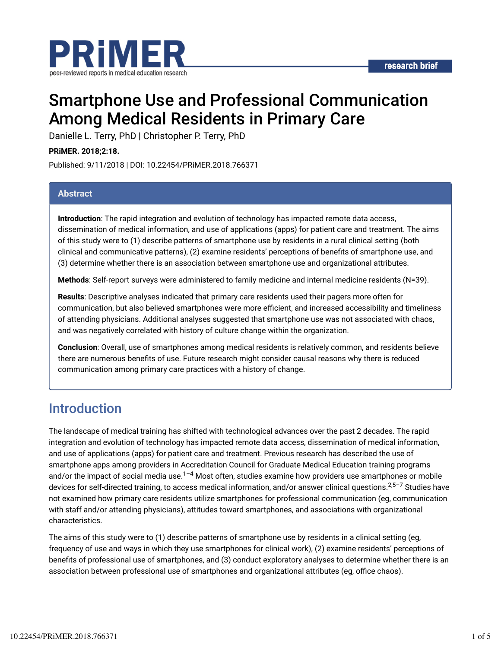



# Smartphone Use and Professional Communication Among Medical Residents in Primary Care

Danielle L. Terry, PhD | Christopher P. Terry, PhD

**PRiMER. 2018;2:18.**

Published: 9/11/2018 | DOI: 10.22454/PRiMER.2018.766371

#### **Abstract**

**Introduction**: The rapid integration and evolution of technology has impacted remote data access, dissemination of medical information, and use of applications (apps) for patient care and treatment. The aims of this study were to (1) describe patterns of smartphone use by residents in a rural clinical setting (both clinical and communicative patterns), (2) examine residents' perceptions of benefits of smartphone use, and (3) determine whether there is an association between smartphone use and organizational attributes.

**Methods**: Self-report surveys were administered to family medicine and internal medicine residents (N=39).

**Results**: Descriptive analyses indicated that primary care residents used their pagers more often for communication, but also believed smartphones were more efficient, and increased accessibility and timeliness of attending physicians. Additional analyses suggested that smartphone use was not associated with chaos, and was negatively correlated with history of culture change within the organization.

**Conclusion**: Overall, use of smartphones among medical residents is relatively common, and residents believe there are numerous benefits of use. Future research might consider causal reasons why there is reduced communication among primary care practices with a history of change.

## Introduction

The landscape of medical training has shifted with technological advances over the past 2 decades. The rapid integration and evolution of technology has impacted remote data access, dissemination of medical information, and use of applications (apps) for patient care and treatment. Previous research has described the use of smartphone apps among providers in Accreditation Council for Graduate Medical Education training programs and/or the impact of social media use. $^{1-4}$  Most often, studies examine how providers use smartphones or mobile devices for self-directed training, to access medical information, and/or answer clinical questions.<sup>2,5–7</sup> Studies have not examined how primary care residents utilize smartphones for professional communication (eg, communication with staff and/or attending physicians), attitudes toward smartphones, and associations with organizational characteristics.

The aims of this study were to (1) describe patterns of smartphone use by residents in a clinical setting (eg, frequency of use and ways in which they use smartphones for clinical work), (2) examine residents' perceptions of benefits of professional use of smartphones, and (3) conduct exploratory analyses to determine whether there is an association between professional use of smartphones and organizational attributes (eg, office chaos).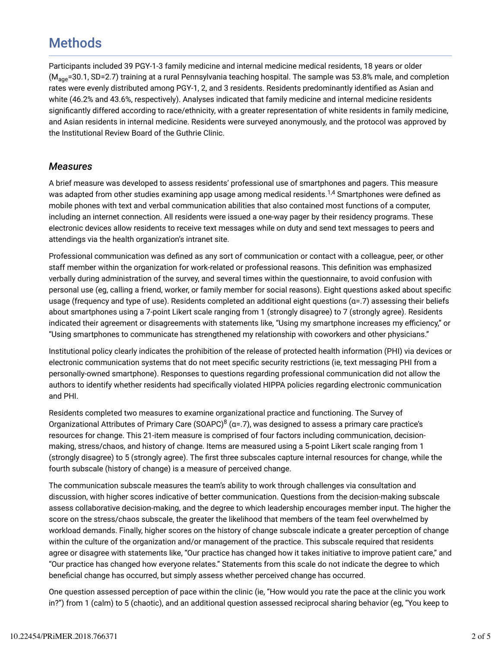## **Methods**

Participants included 39 PGY-1-3 family medicine and internal medicine medical residents, 18 years or older (M<sub>age</sub>=30.1, SD=2.7) training at a rural Pennsylvania teaching hospital. The sample was 53.8% male, and completion rates were evenly distributed among PGY-1, 2, and 3 residents. Residents predominantly identified as Asian and white (46.2% and 43.6%, respectively). Analyses indicated that family medicine and internal medicine residents significantly differed according to race/ethnicity, with a greater representation of white residents in family medicine, and Asian residents in internal medicine. Residents were surveyed anonymously, and the protocol was approved by the Institutional Review Board of the Guthrie Clinic.

#### *Measures*

A brief measure was developed to assess residents' professional use of smartphones and pagers. This measure was adapted from other studies examining app usage among medical residents. $^{1,4}$  Smartphones were defined as mobile phones with text and verbal communication abilities that also contained most functions of a computer, including an internet connection. All residents were issued a one-way pager by their residency programs. These electronic devices allow residents to receive text messages while on duty and send text messages to peers and attendings via the health organization's intranet site.

Professional communication was defined as any sort of communication or contact with a colleague, peer, or other staff member within the organization for work-related or professional reasons. This definition was emphasized verbally during administration of the survey, and several times within the questionnaire, to avoid confusion with personal use (eg, calling a friend, worker, or family member for social reasons). Eight questions asked about specific usage (frequency and type of use). Residents completed an additional eight questions ( $a=.7$ ) assessing their beliefs about smartphones using a 7-point Likert scale ranging from 1 (strongly disagree) to 7 (strongly agree). Residents indicated their agreement or disagreements with statements like, "Using my smartphone increases my efficiency," or "Using smartphones to communicate has strengthened my relationship with coworkers and other physicians."

Institutional policy clearly indicates the prohibition of the release of protected health information (PHI) via devices or electronic communication systems that do not meet specific security restrictions (ie, text messaging PHI from a personally-owned smartphone). Responses to questions regarding professional communication did not allow the authors to identify whether residents had specifically violated HIPPA policies regarding electronic communication and PHI.

Residents completed two measures to examine organizational practice and functioning. The Survey of Organizational Attributes of Primary Care (SOAPC) $^8$  (α=.7), was designed to assess a primary care practice's resources for change. This 21-item measure is comprised of four factors including communication, decisionmaking, stress/chaos, and history of change. Items are measured using a 5-point Likert scale ranging from 1 (strongly disagree) to 5 (strongly agree). The first three subscales capture internal resources for change, while the fourth subscale (history of change) is a measure of perceived change.

The communication subscale measures the team's ability to work through challenges via consultation and discussion, with higher scores indicative of better communication. Questions from the decision-making subscale assess collaborative decision-making, and the degree to which leadership encourages member input. The higher the score on the stress/chaos subscale, the greater the likelihood that members of the team feel overwhelmed by workload demands. Finally, higher scores on the history of change subscale indicate a greater perception of change within the culture of the organization and/or management of the practice. This subscale required that residents agree or disagree with statements like, "Our practice has changed how it takes initiative to improve patient care," and "Our practice has changed how everyone relates." Statements from this scale do not indicate the degree to which beneficial change has occurred, but simply assess whether perceived change has occurred.

One question assessed perception of pace within the clinic (ie, "How would you rate the pace at the clinic you work in?") from 1 (calm) to 5 (chaotic), and an additional question assessed reciprocal sharing behavior (eg, "You keep to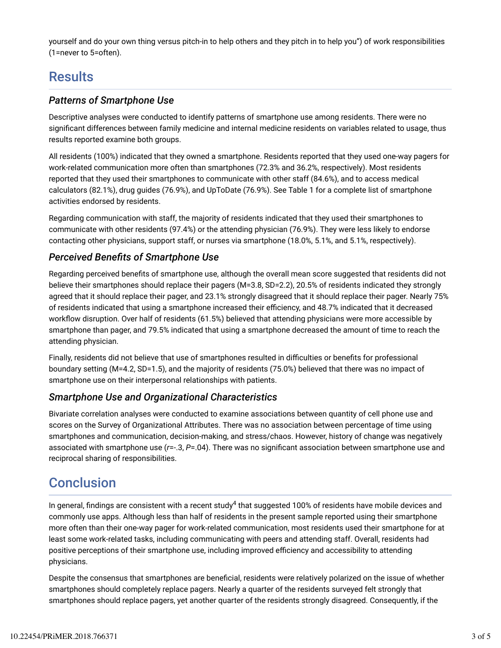yourself and do your own thing versus pitch-in to help others and they pitch in to help you") of work responsibilities (1=never to 5=often).

### **Results**

#### *Patterns of Smartphone Use*

Descriptive analyses were conducted to identify patterns of smartphone use among residents. There were no significant differences between family medicine and internal medicine residents on variables related to usage, thus results reported examine both groups.

All residents (100%) indicated that they owned a smartphone. Residents reported that they used one-way pagers for work-related communication more often than smartphones (72.3% and 36.2%, respectively). Most residents reported that they used their smartphones to communicate with other staff (84.6%), and to access medical calculators (82.1%), drug guides (76.9%), and UpToDate (76.9%). See Table 1 for a complete list of smartphone activities endorsed by residents.

Regarding communication with staff, the majority of residents indicated that they used their smartphones to communicate with other residents (97.4%) or the attending physician (76.9%). They were less likely to endorse contacting other physicians, support staff, or nurses via smartphone (18.0%, 5.1%, and 5.1%, respectively).

#### *Perceived Bene7ts of Smartphone Use*

Regarding perceived benefits of smartphone use, although the overall mean score suggested that residents did not believe their smartphones should replace their pagers (M=3.8, SD=2.2), 20.5% of residents indicated they strongly agreed that it should replace their pager, and 23.1% strongly disagreed that it should replace their pager. Nearly 75% of residents indicated that using a smartphone increased their efficiency, and 48.7% indicated that it decreased workflow disruption. Over half of residents (61.5%) believed that attending physicians were more accessible by smartphone than pager, and 79.5% indicated that using a smartphone decreased the amount of time to reach the attending physician.

Finally, residents did not believe that use of smartphones resulted in difficulties or benefits for professional boundary setting (M=4.2, SD=1.5), and the majority of residents (75.0%) believed that there was no impact of smartphone use on their interpersonal relationships with patients.

### *Smartphone Use and Organizational Characteristics*

Bivariate correlation analyses were conducted to examine associations between quantity of cell phone use and scores on the Survey of Organizational Attributes. There was no association between percentage of time using smartphones and communication, decision-making, and stress/chaos. However, history of change was negatively associated with smartphone use ( $r=-.3$ ,  $P=-.04$ ). There was no significant association between smartphone use and reciprocal sharing of responsibilities.

### **Conclusion**

In general, findings are consistent with a recent study $^4$  that suggested 100% of residents have mobile devices and commonly use apps. Although less than half of residents in the present sample reported using their smartphone more often than their one-way pager for work-related communication, most residents used their smartphone for at least some work-related tasks, including communicating with peers and attending staff. Overall, residents had positive perceptions of their smartphone use, including improved efficiency and accessibility to attending physicians.

Despite the consensus that smartphones are beneficial, residents were relatively polarized on the issue of whether smartphones should completely replace pagers. Nearly a quarter of the residents surveyed felt strongly that smartphones should replace pagers, yet another quarter of the residents strongly disagreed. Consequently, if the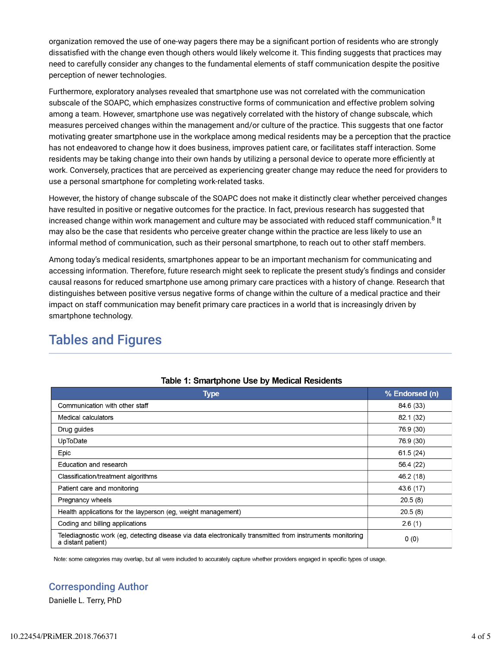organization removed the use of one-way pagers there may be a significant portion of residents who are strongly dissatisfied with the change even though others would likely welcome it. This finding suggests that practices may need to carefully consider any changes to the fundamental elements of staff communication despite the positive perception of newer technologies.

Furthermore, exploratory analyses revealed that smartphone use was not correlated with the communication subscale of the SOAPC, which emphasizes constructive forms of communication and effective problem solving among a team. However, smartphone use was negatively correlated with the history of change subscale, which measures perceived changes within the management and/or culture of the practice. This suggests that one factor motivating greater smartphone use in the workplace among medical residents may be a perception that the practice has not endeavored to change how it does business, improves patient care, or facilitates staff interaction. Some residents may be taking change into their own hands by utilizing a personal device to operate more efficiently at work. Conversely, practices that are perceived as experiencing greater change may reduce the need for providers to use a personal smartphone for completing work-related tasks.

However, the history of change subscale of the SOAPC does not make it distinctly clear whether perceived changes have resulted in positive or negative outcomes for the practice. In fact, previous research has suggested that increased change within work management and culture may be associated with reduced staff communication. $^8$  It may also be the case that residents who perceive greater change within the practice are less likely to use an informal method of communication, such as their personal smartphone, to reach out to other staff members.

Among today's medical residents, smartphones appear to be an important mechanism for communicating and accessing information. Therefore, future research might seek to replicate the present study's findings and consider causal reasons for reduced smartphone use among primary care practices with a history of change. Research that distinguishes between positive versus negative forms of change within the culture of a medical practice and their impact on staff communication may benefit primary care practices in a world that is increasingly driven by smartphone technology.

### Tables and Figures

| Type                                                                                                                             | % Endorsed (n) |
|----------------------------------------------------------------------------------------------------------------------------------|----------------|
| Communication with other staff                                                                                                   | 84.6 (33)      |
| Medical calculators                                                                                                              | 82.1 (32)      |
| Drug guides                                                                                                                      | 76.9 (30)      |
| UpToDate                                                                                                                         | 76.9 (30)      |
| Epic                                                                                                                             | 61.5(24)       |
| Education and research                                                                                                           | 56.4 (22)      |
| Classification/treatment algorithms                                                                                              | 46.2 (18)      |
| Patient care and monitoring                                                                                                      | 43.6 (17)      |
| Pregnancy wheels                                                                                                                 | 20.5(8)        |
| Health applications for the layperson (eg. weight management)                                                                    | 20.5(8)        |
| Coding and billing applications                                                                                                  | 2.6(1)         |
| Telediagnostic work (eg. detecting disease via data electronically transmitted from instruments monitoring<br>a distant patient) | 0(0)           |

#### Table 1: Smartphone Use by Medical Residents

Note: some categories may overlap, but all were included to accurately capture whether providers engaged in specific types of usage.

### Corresponding Author

Danielle L. Terry, PhD